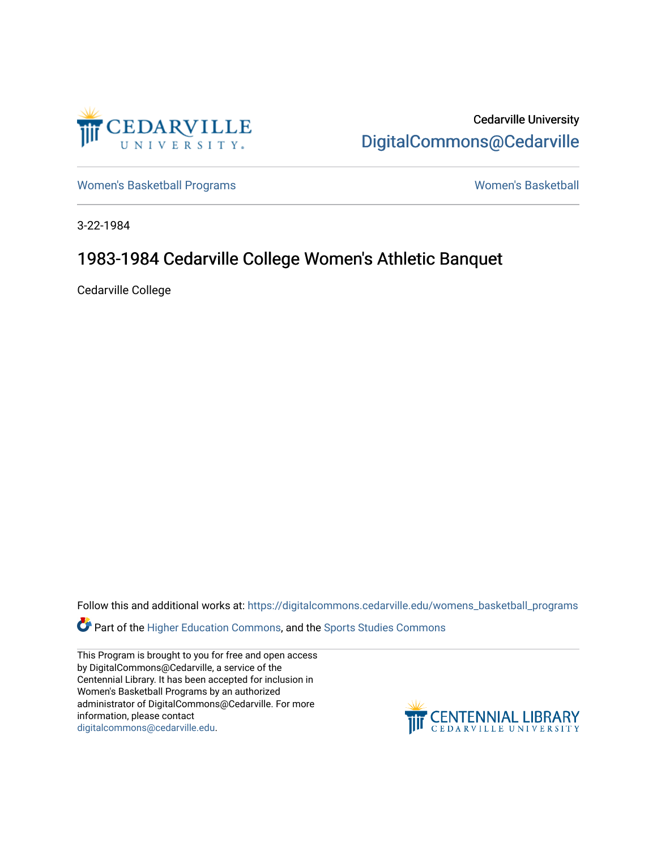

Cedarville University [DigitalCommons@Cedarville](https://digitalcommons.cedarville.edu/) 

[Women's Basketball Programs](https://digitalcommons.cedarville.edu/womens_basketball_programs) North Controller and Momen's Basketball

3-22-1984

# 1983-1984 Cedarville College Women's Athletic Banquet

Cedarville College

Follow this and additional works at: [https://digitalcommons.cedarville.edu/womens\\_basketball\\_programs](https://digitalcommons.cedarville.edu/womens_basketball_programs?utm_source=digitalcommons.cedarville.edu%2Fwomens_basketball_programs%2F155&utm_medium=PDF&utm_campaign=PDFCoverPages)

**Part of the [Higher Education Commons,](http://network.bepress.com/hgg/discipline/1245?utm_source=digitalcommons.cedarville.edu%2Fwomens_basketball_programs%2F155&utm_medium=PDF&utm_campaign=PDFCoverPages) and the Sports Studies Commons** 

This Program is brought to you for free and open access by DigitalCommons@Cedarville, a service of the Centennial Library. It has been accepted for inclusion in Women's Basketball Programs by an authorized administrator of DigitalCommons@Cedarville. For more information, please contact [digitalcommons@cedarville.edu](mailto:digitalcommons@cedarville.edu).

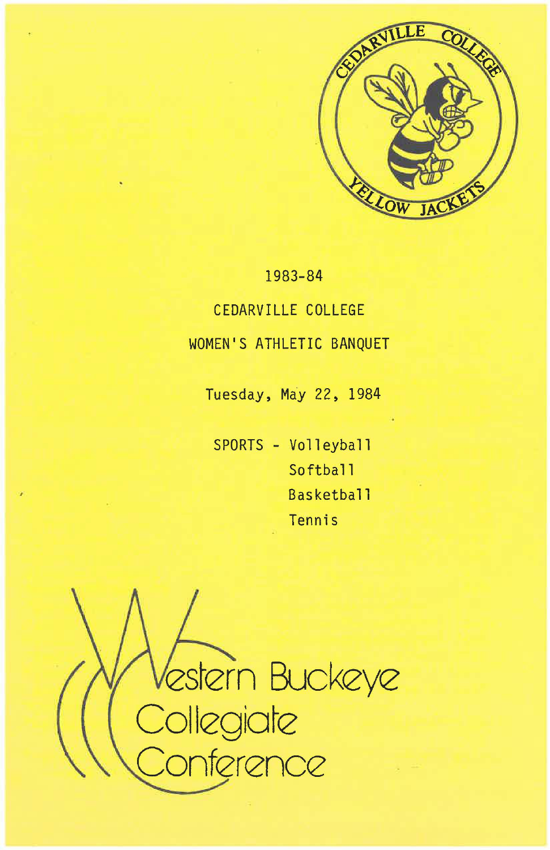

**1983-84 CEDARVILLE COLLEGE WOMEN'S ATHLETIC BANQUET** 

**Tuesday, May 22, 1984** 

**SPORTS** - **Volleyball Softball Basketball Tennis** 

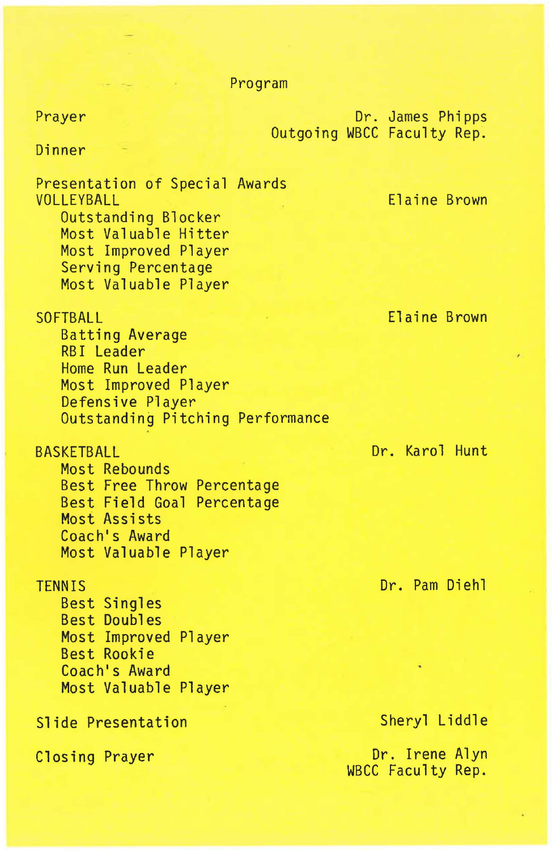Program

Prayer

Dr. James Phipps Outgoing WBCC Faculty Rep.

Dinner

Presentation of Special Awards VOLLEYBALL Outstanding Blocker Most Valuable Hitter Most Improved Player Serving Percentage

Most Valuable Player

**SOFTBALL** 

Elaine Brown

Elaine Brown

Batting Average RB I Leader Home Run Leader Most Improved Player Defensive Player Outstanding Pitching Performance

#### BASKETBALL

Most Rebounds Best Free Throw Percentage Best Field Goal Percentage Most Assists Coach's Award Most Valuable Player

# **TENNIS**

Best Singles Best Doubles Most Improved Player Best Rookie Coach's Award Most Valuable Player

Slide Presentation

Closing Prayer

Dr. Karol Hunt

Dr. Pam Diehl

# Sheryl Liddle

Dr. Irene Al yn WBCC Faculty Rep.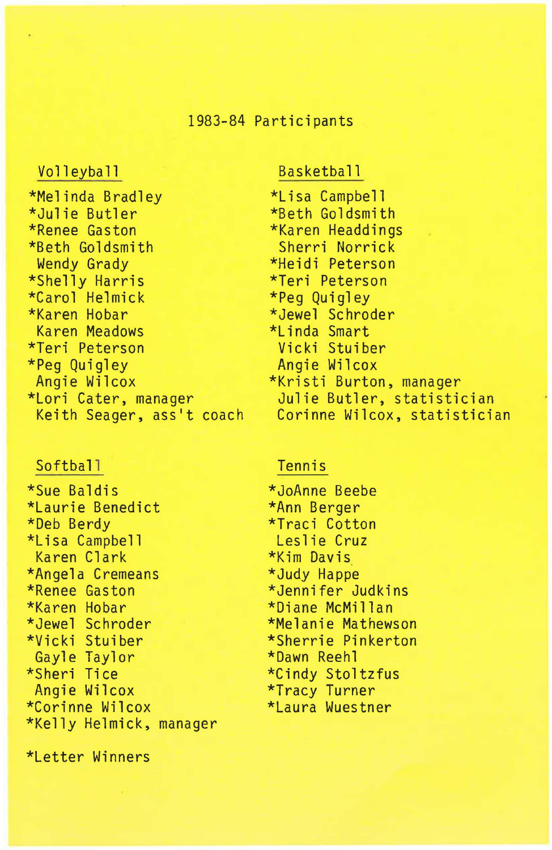#### 1983-84 Participants

# Volleyball

\*Melinda Bradley \*Julie Butler \*Renee Gaston \*Beth Goldsmith Wendy Grady \*Shelly Harris \*Carol Helmick \*Karen Hobar Karen Meadows \*Teri Peterson \*Peg Quigley Angie Wilcox \*Lori Cater, manager Keith Seager, ass't coach

### Softball

\*Sue Baldis \*Laurie Benedict \*Deb Berdy \*Lisa Campbell Karen Clark \*Angela Cremeans \*Renee Gaston \*Karen Hobar \*Jewel Schroder \*Vicki Stuiber Gayle Taylor \*Sheri Tice Angie Wilcox \*Corinne Wilcox \*Kelly Helmick, manager

\*Letter Winners

#### Basketball

\*Lisa Campbell \*Beth Goldsmith \*Karen Headdings Sherri Norrick \*Heidi Peterson \*Teri Peterson \*Peg Quigley \*Jewel Schroder \*Linda Smart Vicki Stuiber Angie Wilcox \*Kristi Burton, manager Julie Butler, statistician Corinne Wilcox, statistician

#### Tennis

\*JoAnne Beebe \*Ann Berger \*Traci Cotton Leslie Cruz \*Kim Davis \*Judy Happe \*Jennifer Judkins \*Diane McMillan \*Melanie Mathewson \*Sherrie Pinkerton \*Dawn Reehl \*Cindy Stoltzfus \*Tracy Turner \*Laura Wuestner